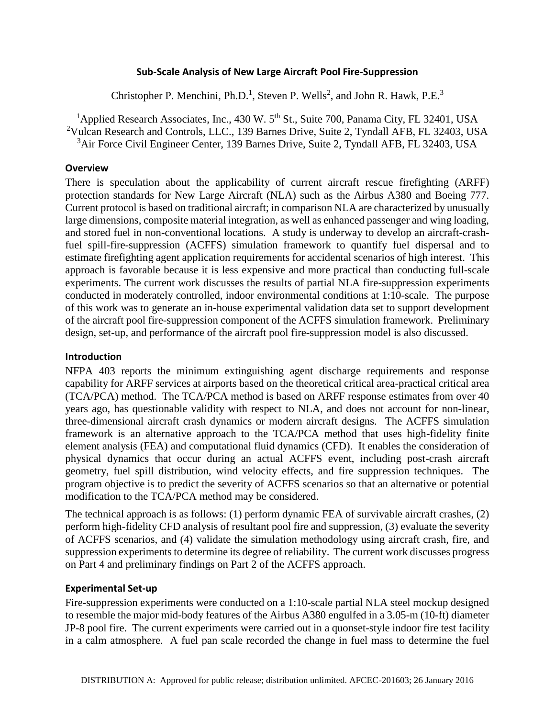### **Sub-Scale Analysis of New Large Aircraft Pool Fire-Suppression**

Christopher P. Menchini, Ph.D.<sup>1</sup>, Steven P. Wells<sup>2</sup>, and John R. Hawk, P.E.<sup>3</sup>

<sup>1</sup>Applied Research Associates, Inc., 430 W.  $5<sup>th</sup>$  St., Suite 700, Panama City, FL 32401, USA <sup>2</sup>Vulcan Research and Controls, LLC., 139 Barnes Drive, Suite 2, Tyndall AFB, FL 32403, USA <sup>3</sup>Air Force Civil Engineer Center, 139 Barnes Drive, Suite 2, Tyndall AFB, FL 32403, USA

#### **Overview**

There is speculation about the applicability of current aircraft rescue firefighting (ARFF) protection standards for New Large Aircraft (NLA) such as the Airbus A380 and Boeing 777. Current protocol is based on traditional aircraft; in comparison NLA are characterized by unusually large dimensions, composite material integration, as well as enhanced passenger and wing loading, and stored fuel in non-conventional locations. A study is underway to develop an aircraft-crashfuel spill-fire-suppression (ACFFS) simulation framework to quantify fuel dispersal and to estimate firefighting agent application requirements for accidental scenarios of high interest. This approach is favorable because it is less expensive and more practical than conducting full-scale experiments. The current work discusses the results of partial NLA fire-suppression experiments conducted in moderately controlled, indoor environmental conditions at 1:10-scale. The purpose of this work was to generate an in-house experimental validation data set to support development of the aircraft pool fire-suppression component of the ACFFS simulation framework. Preliminary design, set-up, and performance of the aircraft pool fire-suppression model is also discussed.

## **Introduction**

NFPA 403 reports the minimum extinguishing agent discharge requirements and response capability for ARFF services at airports based on the theoretical critical area-practical critical area (TCA/PCA) method. The TCA/PCA method is based on ARFF response estimates from over 40 years ago, has questionable validity with respect to NLA, and does not account for non-linear, three-dimensional aircraft crash dynamics or modern aircraft designs. The ACFFS simulation framework is an alternative approach to the TCA/PCA method that uses high-fidelity finite element analysis (FEA) and computational fluid dynamics (CFD). It enables the consideration of physical dynamics that occur during an actual ACFFS event, including post-crash aircraft geometry, fuel spill distribution, wind velocity effects, and fire suppression techniques. The program objective is to predict the severity of ACFFS scenarios so that an alternative or potential modification to the TCA/PCA method may be considered.

The technical approach is as follows: (1) perform dynamic FEA of survivable aircraft crashes, (2) perform high-fidelity CFD analysis of resultant pool fire and suppression, (3) evaluate the severity of ACFFS scenarios, and (4) validate the simulation methodology using aircraft crash, fire, and suppression experiments to determine its degree of reliability. The current work discusses progress on Part 4 and preliminary findings on Part 2 of the ACFFS approach.

#### **Experimental Set-up**

Fire-suppression experiments were conducted on a 1:10-scale partial NLA steel mockup designed to resemble the major mid-body features of the Airbus A380 engulfed in a 3.05-m (10-ft) diameter JP-8 pool fire. The current experiments were carried out in a quonset-style indoor fire test facility in a calm atmosphere. A fuel pan scale recorded the change in fuel mass to determine the fuel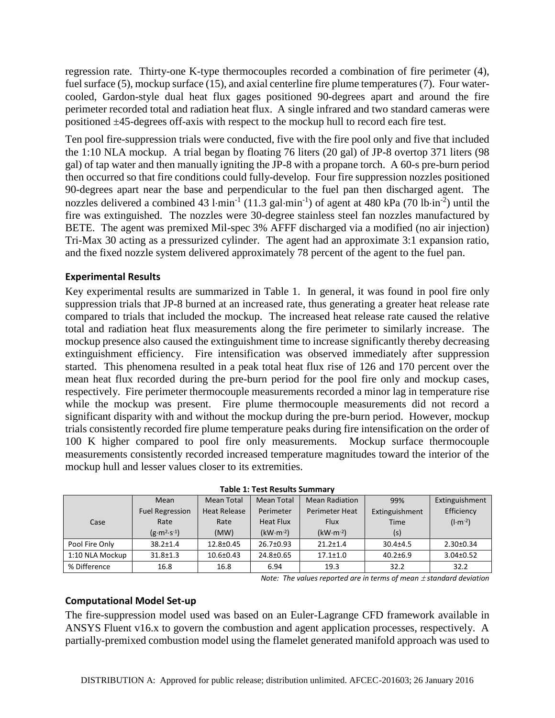regression rate. Thirty-one K-type thermocouples recorded a combination of fire perimeter (4), fuel surface (5), mockup surface (15), and axial centerline fire plume temperatures (7). Four watercooled, Gardon-style dual heat flux gages positioned 90-degrees apart and around the fire perimeter recorded total and radiation heat flux. A single infrared and two standard cameras were positioned ±45-degrees off-axis with respect to the mockup hull to record each fire test.

Ten pool fire-suppression trials were conducted, five with the fire pool only and five that included the 1:10 NLA mockup. A trial began by floating 76 liters (20 gal) of JP-8 overtop 371 liters (98 gal) of tap water and then manually igniting the JP-8 with a propane torch. A 60-s pre-burn period then occurred so that fire conditions could fully-develop. Four fire suppression nozzles positioned 90-degrees apart near the base and perpendicular to the fuel pan then discharged agent. The nozzles delivered a combined 43  $l·min<sup>-1</sup>$  (11.3 gal $·min<sup>-1</sup>$ ) of agent at 480 kPa (70 lb $·in<sup>-2</sup>$ ) until the fire was extinguished. The nozzles were 30-degree stainless steel fan nozzles manufactured by BETE. The agent was premixed Mil-spec 3% AFFF discharged via a modified (no air injection) Tri-Max 30 acting as a pressurized cylinder. The agent had an approximate 3:1 expansion ratio, and the fixed nozzle system delivered approximately 78 percent of the agent to the fuel pan.

# **Experimental Results**

Key experimental results are summarized in Table 1. In general, it was found in pool fire only suppression trials that JP-8 burned at an increased rate, thus generating a greater heat release rate compared to trials that included the mockup. The increased heat release rate caused the relative total and radiation heat flux measurements along the fire perimeter to similarly increase. The mockup presence also caused the extinguishment time to increase significantly thereby decreasing extinguishment efficiency. Fire intensification was observed immediately after suppression started. This phenomena resulted in a peak total heat flux rise of 126 and 170 percent over the mean heat flux recorded during the pre-burn period for the pool fire only and mockup cases, respectively. Fire perimeter thermocouple measurements recorded a minor lag in temperature rise while the mockup was present. Fire plume thermocouple measurements did not record a significant disparity with and without the mockup during the pre-burn period. However, mockup trials consistently recorded fire plume temperature peaks during fire intensification on the order of 100 K higher compared to pool fire only measurements. Mockup surface thermocouple measurements consistently recorded increased temperature magnitudes toward the interior of the mockup hull and lesser values closer to its extremities.

|                 | Mean                   | <b>Mean Total</b>   | <b>Mean Total</b> | <b>Mean Radiation</b> | 99%            | Extinguishment  |
|-----------------|------------------------|---------------------|-------------------|-----------------------|----------------|-----------------|
|                 | <b>Fuel Regression</b> | <b>Heat Release</b> | Perimeter         | <b>Perimeter Heat</b> | Extinguishment | Efficiency      |
| Case            | Rate                   | Rate                | <b>Heat Flux</b>  | <b>Flux</b>           | Time           | $(l·m-2)$       |
|                 | $(g·m2·s-1)$           | (MW)                | $(kW·m-2)$        | $(kW·m-2)$            | (s)            |                 |
| Pool Fire Only  | $38.2 \pm 1.4$         | 12.8±0.45           | 26.7±0.93         | $21.2 \pm 1.4$        | $30.4 + 4.5$   | $2.30 \pm 0.34$ |
| 1:10 NLA Mockup | $31.8 \pm 1.3$         | $10.6 \pm 0.43$     | 24.8±0.65         | $17.1 \pm 1.0$        | $40.2 \pm 6.9$ | $3.04 \pm 0.52$ |
| % Difference    | 16.8                   | 16.8                | 6.94              | 19.3                  | 32.2           | 32.2            |

**Table 1: Test Results Summary**

*Note: The values reported are in terms of mean standard deviation*

## **Computational Model Set-up**

The fire-suppression model used was based on an Euler-Lagrange CFD framework available in ANSYS Fluent v16.x to govern the combustion and agent application processes, respectively. A partially-premixed combustion model using the flamelet generated manifold approach was used to